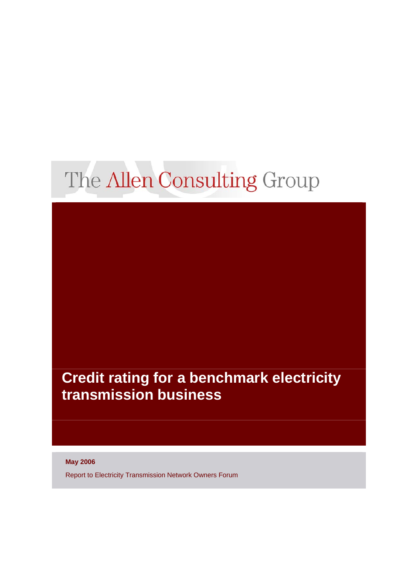# The Allen Consulting Group

# **Credit rating for a benchmark electricity transmission business**

**May 2006** 

Report to Electricity Transmission Network Owners Forum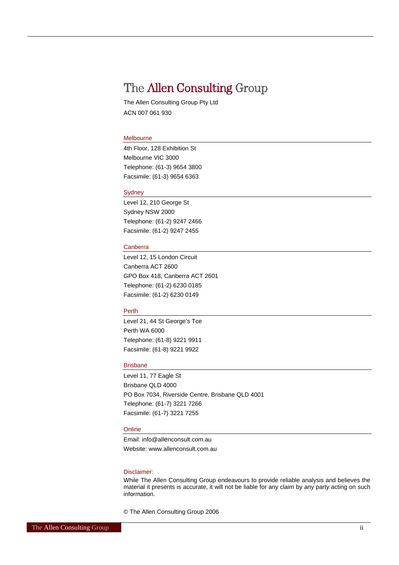## The Allen Consulting Group

The Allen Consulting Group Pty Ltd ACN 007 061 930

#### Melbourne

4th Floor, 128 Exhibition St Melbourne VIC 3000 Telephone: (61-3) 9654 3800 Facsimile: (61-3) 9654 6363

#### Sydney

Level 12, 210 George St Sydney NSW 2000 Telephone: (61-2) 9247 2466 Facsimile: (61-2) 9247 2455

#### Canberra

Level 12, 15 London Circuit Canberra ACT 2600 GPO Box 418, Canberra ACT 2601 Telephone: (61-2) 6230 0185 Facsimile: (61-2) 6230 0149

#### Perth

Level 21, 44 St George's Tce Perth WA 6000 Telephone: (61-8) 9221 9911 Facsimile: (61-8) 9221 9922

#### **Brisbane**

Level 11, 77 Eagle St Brisbane QLD 4000 PO Box 7034, Riverside Centre, Brisbane QLD 4001 Telephone: (61-7) 3221 7266 Facsimile: (61-7) 3221 7255

#### **Online**

Email: info@allenconsult.com.au Website: www.allenconsult.com.au

#### Disclaimer:

While The Allen Consulting Group endeavours to provide reliable analysis and believes the material it presents is accurate, it will not be liable for any claim by any party acting on such information.

© The Allen Consulting Group 2006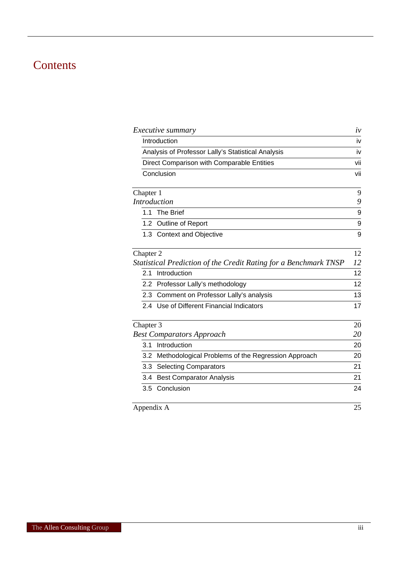# **Contents**

| <i>Executive summary</i>                                         | $\dot{\nu}$ |
|------------------------------------------------------------------|-------------|
| Introduction                                                     | iv          |
| Analysis of Professor Lally's Statistical Analysis               | iv          |
| Direct Comparison with Comparable Entities                       | vii         |
| Conclusion                                                       | vii         |
| Chapter 1                                                        | 9           |
| <b>Introduction</b>                                              | 9           |
| <b>The Brief</b><br>1.1                                          | 9           |
| 1.2 Outline of Report                                            | 9           |
| 1.3 Context and Objective                                        | 9           |
| Chapter 2                                                        | 12          |
| Statistical Prediction of the Credit Rating for a Benchmark TNSP | 12          |
| Introduction<br>2.1                                              | 12          |
| 2.2 Professor Lally's methodology                                | 12          |
| 2.3 Comment on Professor Lally's analysis                        | 13          |
| 2.4 Use of Different Financial Indicators                        | 17          |
| Chapter 3                                                        | 20          |
| <b>Best Comparators Approach</b>                                 | 20          |
| Introduction<br>3.1                                              | 20          |
| 3.2 Methodological Problems of the Regression Approach           | 20          |
| 3.3 Selecting Comparators                                        | 21          |
| <b>Best Comparator Analysis</b><br>3.4                           | 21          |
| 3.5 Conclusion                                                   | 24          |
| Appendix A                                                       | 25          |
|                                                                  |             |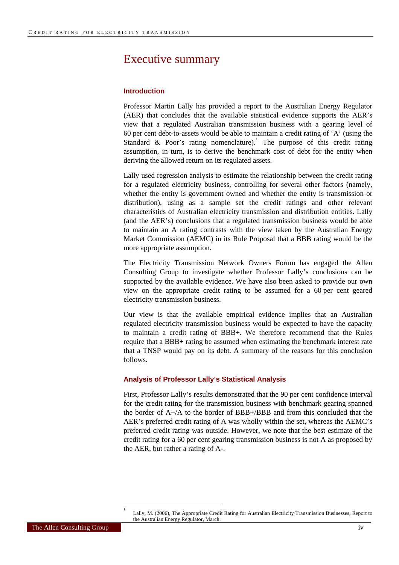### <span id="page-3-0"></span>Executive summary

#### **Introduction**

Professor Martin Lally has provided a report to the Australian Energy Regulator (AER) that concludes that the available statistical evidence supports the AER's view that a regulated Australian transmission business with a gearing level of 60 per cent debt-to-assets would be able to maintain a credit rating of 'A' (using the Standard & Poor's rating nomenclature). The purpose of this credit rating assumption, in turn, is to derive the benchmark cost of debt for the entity when deriving the allowed return on its regulated assets.

Lally used regression analysis to estimate the relationship between the credit rating for a regulated electricity business, controlling for several other factors (namely, whether the entity is government owned and whether the entity is transmission or distribution), using as a sample set the credit ratings and other relevant characteristics of Australian electricity transmission and distribution entities. Lally (and the AER's) conclusions that a regulated transmission business would be able to maintain an A rating contrasts with the view taken by the Australian Energy Market Commission (AEMC) in its Rule Proposal that a BBB rating would be the more appropriate assumption.

The Electricity Transmission Network Owners Forum has engaged the Allen Consulting Group to investigate whether Professor Lally's conclusions can be supported by the available evidence. We have also been asked to provide our own view on the appropriate credit rating to be assumed for a 60 per cent geared electricity transmission business.

Our view is that the available empirical evidence implies that an Australian regulated electricity transmission business would be expected to have the capacity to maintain a credit rating of BBB+. We therefore recommend that the Rules require that a BBB+ rating be assumed when estimating the benchmark interest rate that a TNSP would pay on its debt. A summary of the reasons for this conclusion follows.

#### **Analysis of Professor Lally's Statistical Analysis**

First, Professor Lally's results demonstrated that the 90 per cent confidence interval for the credit rating for the transmission business with benchmark gearing spanned the border of  $A+/A$  to the border of BBB+/BBB and from this concluded that the AER's preferred credit rating of A was wholly within the set, whereas the AEMC's preferred credit rating was outside. However, we note that the best estimate of the credit rating for a 60 per cent gearing transmission business is not A as proposed by the AER, but rather a rating of A-.

<span id="page-3-1"></span>l

Lally, M. (2006), The Appropriate Credit Rating for Australian Electricity Transmission Businesses, Report to the Australian Energy Regulator, March.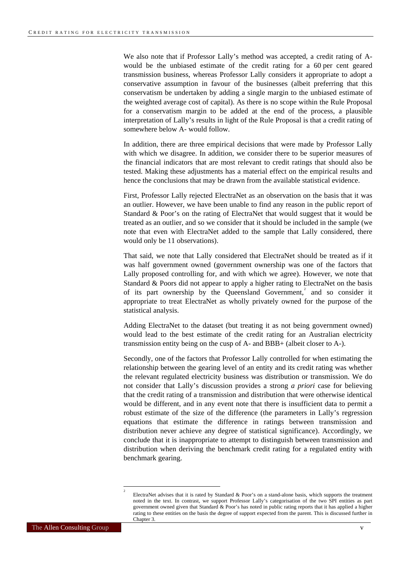We also note that if Professor Lally's method was accepted, a credit rating of Awould be the unbiased estimate of the credit rating for a 60 per cent geared transmission business, whereas Professor Lally considers it appropriate to adopt a conservative assumption in favour of the businesses (albeit preferring that this conservatism be undertaken by adding a single margin to the unbiased estimate of the weighted average cost of capital). As there is no scope within the Rule Proposal for a conservatism margin to be added at the end of the process, a plausible interpretation of Lally's results in light of the Rule Proposal is that a credit rating of somewhere below A- would follow.

In addition, there are three empirical decisions that were made by Professor Lally with which we disagree. In addition, we consider there to be superior measures of the financial indicators that are most relevant to credit ratings that should also be tested. Making these adjustments has a material effect on the empirical results and hence the conclusions that may be drawn from the available statistical evidence.

First, Professor Lally rejected ElectraNet as an observation on the basis that it was an outlier. However, we have been unable to find any reason in the public report of Standard & Poor's on the rating of ElectraNet that would suggest that it would be treated as an outlier, and so we consider that it should be included in the sample (we note that even with ElectraNet added to the sample that Lally considered, there would only be 11 observations).

That said, we note that Lally considered that ElectraNet should be treated as if it was half government owned (government ownership was one of the factors that Lally proposed controlling for, and with which we agree). However, we note that Standard & Poors did not appear to apply a higher rating to ElectraNet on the basis of its part ownership by the Queensland Government,<sup>[2](#page-4-0)</sup> and so consider it appropriate to treat ElectraNet as wholly privately owned for the purpose of the statistical analysis.

Adding ElectraNet to the dataset (but treating it as not being government owned) would lead to the best estimate of the credit rating for an Australian electricity transmission entity being on the cusp of A- and BBB+ (albeit closer to A-).

Secondly, one of the factors that Professor Lally controlled for when estimating the relationship between the gearing level of an entity and its credit rating was whether the relevant regulated electricity business was distribution or transmission. We do not consider that Lally's discussion provides a strong *a priori* case for believing that the credit rating of a transmission and distribution that were otherwise identical would be different, and in any event note that there is insufficient data to permit a robust estimate of the size of the difference (the parameters in Lally's regression equations that estimate the difference in ratings between transmission and distribution never achieve any degree of statistical significance). Accordingly, we conclude that it is inappropriate to attempt to distinguish between transmission and distribution when deriving the benchmark credit rating for a regulated entity with benchmark gearing.

<span id="page-4-0"></span>l

ElectraNet advises that it is rated by Standard & Poor's on a stand-alone basis, which supports the treatment noted in the text. In contrast, we support Professor Lally's categorisation of the two SPI entities as part government owned given that Standard & Poor's has noted in public rating reports that it has applied a higher rating to these entities on the basis the degree of support expected from the parent. This is discussed further in Chapter 3.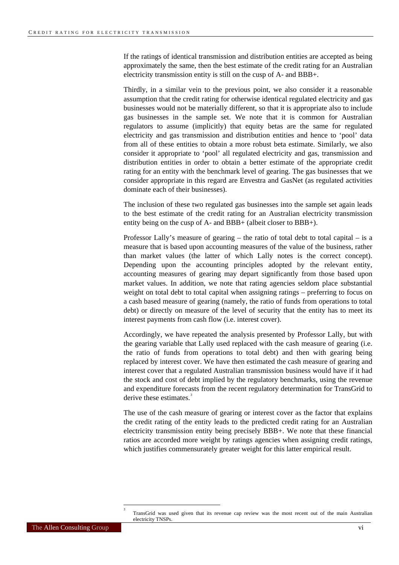If the ratings of identical transmission and distribution entities are accepted as being approximately the same, then the best estimate of the credit rating for an Australian electricity transmission entity is still on the cusp of A- and BBB+.

Thirdly, in a similar vein to the previous point, we also consider it a reasonable assumption that the credit rating for otherwise identical regulated electricity and gas businesses would not be materially different, so that it is appropriate also to include gas businesses in the sample set. We note that it is common for Australian regulators to assume (implicitly) that equity betas are the same for regulated electricity and gas transmission and distribution entities and hence to 'pool' data from all of these entities to obtain a more robust beta estimate. Similarly, we also consider it appropriate to 'pool' all regulated electricity and gas, transmission and distribution entities in order to obtain a better estimate of the appropriate credit rating for an entity with the benchmark level of gearing. The gas businesses that we consider appropriate in this regard are Envestra and GasNet (as regulated activities dominate each of their businesses).

The inclusion of these two regulated gas businesses into the sample set again leads to the best estimate of the credit rating for an Australian electricity transmission entity being on the cusp of A- and BBB+ (albeit closer to BBB+).

Professor Lally's measure of gearing – the ratio of total debt to total capital – is a measure that is based upon accounting measures of the value of the business, rather than market values (the latter of which Lally notes is the correct concept). Depending upon the accounting principles adopted by the relevant entity, accounting measures of gearing may depart significantly from those based upon market values. In addition, we note that rating agencies seldom place substantial weight on total debt to total capital when assigning ratings – preferring to focus on a cash based measure of gearing (namely, the ratio of funds from operations to total debt) or directly on measure of the level of security that the entity has to meet its interest payments from cash flow (i.e. interest cover).

Accordingly, we have repeated the analysis presented by Professor Lally, but with the gearing variable that Lally used replaced with the cash measure of gearing (i.e. the ratio of funds from operations to total debt) and then with gearing being replaced by interest cover. We have then estimated the cash measure of gearing and interest cover that a regulated Australian transmission business would have if it had the stock and cost of debt implied by the regulatory benchmarks, using the revenue and expenditure forecasts from the recent regulatory determination for TransGrid to derive these estimates.

The use of the cash measure of gearing or interest cover as the factor that explains the credit rating of the entity leads to the predicted credit rating for an Australian electricity transmission entity being precisely BBB+. We note that these financial ratios are accorded more weight by ratings agencies when assigning credit ratings, which justifies commensurately greater weight for this latter empirical result.

l

<span id="page-5-0"></span>TransGrid was used given that its revenue cap review was the most recent out of the main Australian electricity TNSPs.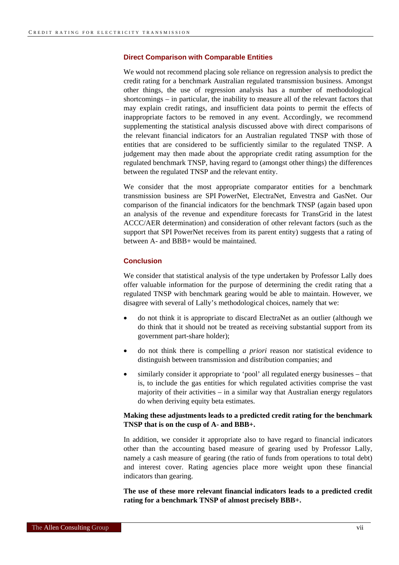#### <span id="page-6-0"></span>**Direct Comparison with Comparable Entities**

We would not recommend placing sole reliance on regression analysis to predict the credit rating for a benchmark Australian regulated transmission business. Amongst other things, the use of regression analysis has a number of methodological shortcomings – in particular, the inability to measure all of the relevant factors that may explain credit ratings, and insufficient data points to permit the effects of inappropriate factors to be removed in any event. Accordingly, we recommend supplementing the statistical analysis discussed above with direct comparisons of the relevant financial indicators for an Australian regulated TNSP with those of entities that are considered to be sufficiently similar to the regulated TNSP. A judgement may then made about the appropriate credit rating assumption for the regulated benchmark TNSP, having regard to (amongst other things) the differences between the regulated TNSP and the relevant entity.

We consider that the most appropriate comparator entities for a benchmark transmission business are SPI PowerNet, ElectraNet, Envestra and GasNet. Our comparison of the financial indicators for the benchmark TNSP (again based upon an analysis of the revenue and expenditure forecasts for TransGrid in the latest ACCC/AER determination) and consideration of other relevant factors (such as the support that SPI PowerNet receives from its parent entity) suggests that a rating of between A- and BBB+ would be maintained.

#### **Conclusion**

We consider that statistical analysis of the type undertaken by Professor Lally does offer valuable information for the purpose of determining the credit rating that a regulated TNSP with benchmark gearing would be able to maintain. However, we disagree with several of Lally's methodological choices, namely that we:

- do not think it is appropriate to discard ElectraNet as an outlier (although we do think that it should not be treated as receiving substantial support from its government part-share holder);
- do not think there is compelling *a priori* reason nor statistical evidence to distinguish between transmission and distribution companies; and
- similarly consider it appropriate to 'pool' all regulated energy businesses that is, to include the gas entities for which regulated activities comprise the vast majority of their activities – in a similar way that Australian energy regulators do when deriving equity beta estimates.

#### **Making these adjustments leads to a predicted credit rating for the benchmark TNSP that is on the cusp of A- and BBB+.**

In addition, we consider it appropriate also to have regard to financial indicators other than the accounting based measure of gearing used by Professor Lally, namely a cash measure of gearing (the ratio of funds from operations to total debt) and interest cover. Rating agencies place more weight upon these financial indicators than gearing.

**The use of these more relevant financial indicators leads to a predicted credit rating for a benchmark TNSP of almost precisely BBB+.**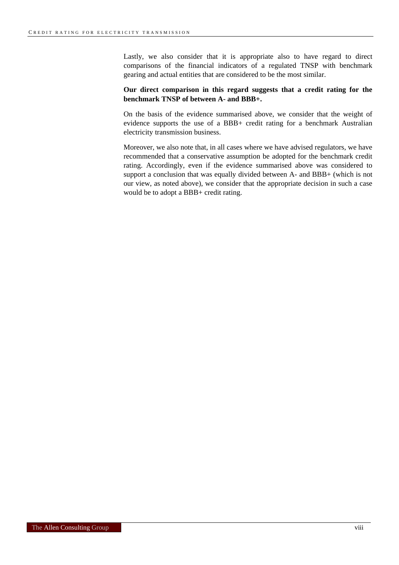Lastly, we also consider that it is appropriate also to have regard to direct comparisons of the financial indicators of a regulated TNSP with benchmark gearing and actual entities that are considered to be the most similar.

#### **Our direct comparison in this regard suggests that a credit rating for the benchmark TNSP of between A- and BBB+.**

On the basis of the evidence summarised above, we consider that the weight of evidence supports the use of a BBB+ credit rating for a benchmark Australian electricity transmission business.

Moreover, we also note that, in all cases where we have advised regulators, we have recommended that a conservative assumption be adopted for the benchmark credit rating. Accordingly, even if the evidence summarised above was considered to support a conclusion that was equally divided between A- and BBB+ (which is not our view, as noted above), we consider that the appropriate decision in such a case would be to adopt a BBB+ credit rating.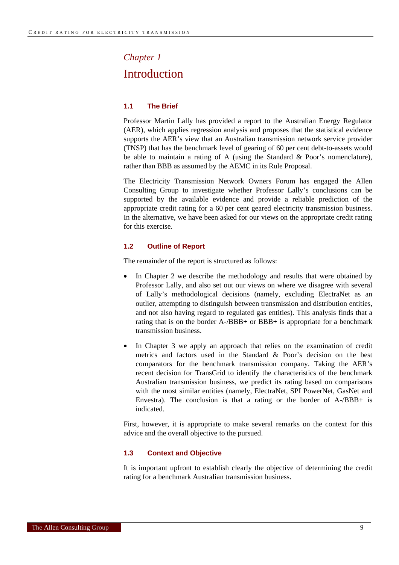# <span id="page-8-0"></span>*Chapter 1* Introduction

#### **1.1 The Brief**

Professor Martin Lally has provided a report to the Australian Energy Regulator (AER), which applies regression analysis and proposes that the statistical evidence supports the AER's view that an Australian transmission network service provider (TNSP) that has the benchmark level of gearing of 60 per cent debt-to-assets would be able to maintain a rating of A (using the Standard & Poor's nomenclature), rather than BBB as assumed by the AEMC in its Rule Proposal.

The Electricity Transmission Network Owners Forum has engaged the Allen Consulting Group to investigate whether Professor Lally's conclusions can be supported by the available evidence and provide a reliable prediction of the appropriate credit rating for a 60 per cent geared electricity transmission business. In the alternative, we have been asked for our views on the appropriate credit rating for this exercise.

#### **1.2 Outline of Report**

The remainder of the report is structured as follows:

- In Chapter 2 we describe the methodology and results that were obtained by Professor Lally, and also set out our views on where we disagree with several of Lally's methodological decisions (namely, excluding ElectraNet as an outlier, attempting to distinguish between transmission and distribution entities, and not also having regard to regulated gas entities). This analysis finds that a rating that is on the border A-/BBB+ or BBB+ is appropriate for a benchmark transmission business.
- In Chapter 3 we apply an approach that relies on the examination of credit metrics and factors used in the Standard & Poor's decision on the best comparators for the benchmark transmission company. Taking the AER's recent decision for TransGrid to identify the characteristics of the benchmark Australian transmission business, we predict its rating based on comparisons with the most similar entities (namely, ElectraNet, SPI PowerNet, GasNet and Envestra). The conclusion is that a rating or the border of A-/BBB+ is indicated.

First, however, it is appropriate to make several remarks on the context for this advice and the overall objective to the pursued.

#### **1.3 Context and Objective**

It is important upfront to establish clearly the objective of determining the credit rating for a benchmark Australian transmission business.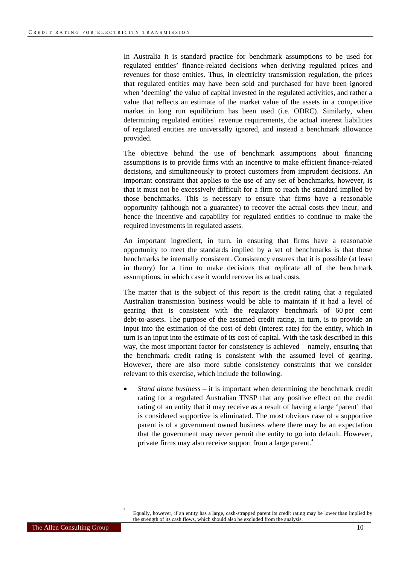<span id="page-9-0"></span>In Australia it is standard practice for benchmark assumptions to be used for regulated entities' finance-related decisions when deriving regulated prices and revenues for those entities. Thus, in electricity transmission regulation, the prices that regulated entities may have been sold and purchased for have been ignored when 'deeming' the value of capital invested in the regulated activities, and rather a value that reflects an estimate of the market value of the assets in a competitive market in long run equilibrium has been used (i.e. ODRC). Similarly, when determining regulated entities' revenue requirements, the actual interest liabilities of regulated entities are universally ignored, and instead a benchmark allowance provided.

The objective behind the use of benchmark assumptions about financing assumptions is to provide firms with an incentive to make efficient finance-related decisions, and simultaneously to protect customers from imprudent decisions. An important constraint that applies to the use of any set of benchmarks, however, is that it must not be excessively difficult for a firm to reach the standard implied by those benchmarks. This is necessary to ensure that firms have a reasonable opportunity (although not a guarantee) to recover the actual costs they incur, and hence the incentive and capability for regulated entities to continue to make the required investments in regulated assets.

An important ingredient, in turn, in ensuring that firms have a reasonable opportunity to meet the standards implied by a set of benchmarks is that those benchmarks be internally consistent. Consistency ensures that it is possible (at least in theory) for a firm to make decisions that replicate all of the benchmark assumptions, in which case it would recover its actual costs.

The matter that is the subject of this report is the credit rating that a regulated Australian transmission business would be able to maintain if it had a level of gearing that is consistent with the regulatory benchmark of 60 per cent debt-to-assets. The purpose of the assumed credit rating, in turn, is to provide an input into the estimation of the cost of debt (interest rate) for the entity, which in turn is an input into the estimate of its cost of capital. With the task described in this way, the most important factor for consistency is achieved – namely, ensuring that the benchmark credit rating is consistent with the assumed level of gearing. However, there are also more subtle consistency constraints that we consider relevant to this exercise, which include the following.

• *Stand alone business* – it is important when determining the benchmark credit rating for a regulated Australian TNSP that any positive effect on the credit rating of an entity that it may receive as a result of having a large 'parent' that is considered supportive is eliminated. The most obvious case of a supportive parent is of a government owned business where there may be an expectation that the government may never permit the entity to go into default. However, private firms may also receive support from a large parent.<sup>[4](#page-9-0)</sup>

l

Equally, however, if an entity has a large, cash-strapped parent its credit rating may be lower than implied by the strength of its cash flows, which should also be excluded from the analysis.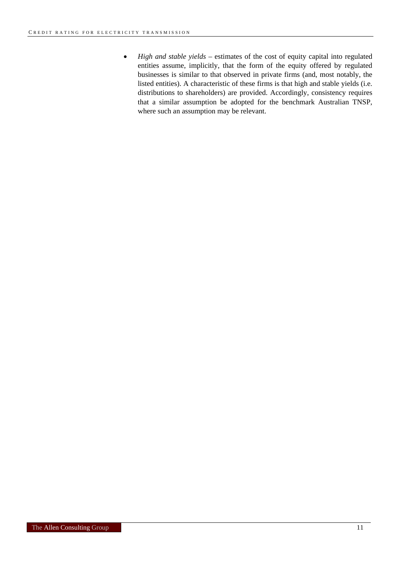• *High and stable yields* – estimates of the cost of equity capital into regulated entities assume, implicitly, that the form of the equity offered by regulated businesses is similar to that observed in private firms (and, most notably, the listed entities). A characteristic of these firms is that high and stable yields (i.e. distributions to shareholders) are provided. Accordingly, consistency requires that a similar assumption be adopted for the benchmark Australian TNSP, where such an assumption may be relevant.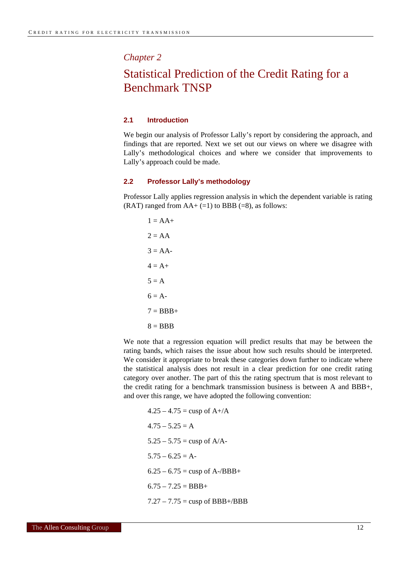<span id="page-11-0"></span>*Chapter 2*

### Statistical Prediction of the Credit Rating for a Benchmark TNSP

#### **2.1 Introduction**

We begin our analysis of Professor Lally's report by considering the approach, and findings that are reported. Next we set out our views on where we disagree with Lally's methodological choices and where we consider that improvements to Lally's approach could be made.

#### **2.2 Professor Lally's methodology**

Professor Lally applies regression analysis in which the dependent variable is rating (RAT) ranged from  $AA + (=1)$  to BBB (=8), as follows:

$$
1 = AA +
$$
  
\n
$$
2 = AA
$$
  
\n
$$
3 = AA -
$$
  
\n
$$
4 = A +
$$
  
\n
$$
5 = A
$$
  
\n
$$
6 = A -
$$
  
\n
$$
7 = BBB +
$$
  
\n
$$
8 = BBB
$$

We note that a regression equation will predict results that may be between the rating bands, which raises the issue about how such results should be interpreted. We consider it appropriate to break these categories down further to indicate where the statistical analysis does not result in a clear prediction for one credit rating category over another. The part of this the rating spectrum that is most relevant to the credit rating for a benchmark transmission business is between A and BBB+, and over this range, we have adopted the following convention:

$$
4.25 - 4.75 = \text{cusp of A} + /A
$$
  

$$
4.75 - 5.25 = A
$$
  

$$
5.25 - 5.75 = \text{cusp of A} /A
$$
  

$$
5.75 - 6.25 = A
$$
  

$$
6.25 - 6.75 = \text{cusp of A} /BBB +
$$
  

$$
6.75 - 7.25 = BBB +
$$
  

$$
7.27 - 7.75 = \text{cusp of BBB} + /BBB
$$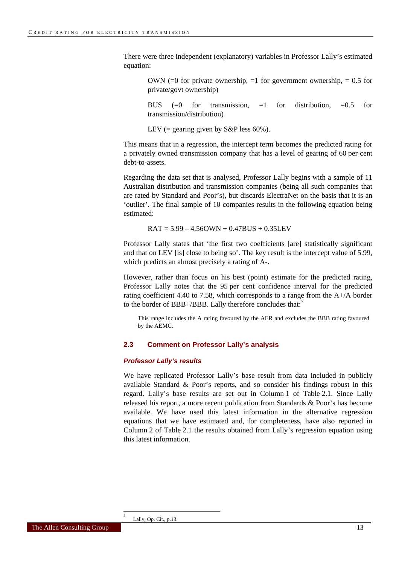<span id="page-12-0"></span>There were three independent (explanatory) variables in Professor Lally's estimated equation:

OWN (=0 for private ownership,  $=1$  for government ownership,  $= 0.5$  for private/govt ownership)

BUS  $(=0 \text{ for transmission}, =1 \text{ for distribution}, =0.5 \text{ for}$ transmission/distribution)

LEV (= gearing given by  $S\&P$  less 60%).

This means that in a regression, the intercept term becomes the predicted rating for a privately owned transmission company that has a level of gearing of 60 per cent debt-to-assets.

Regarding the data set that is analysed, Professor Lally begins with a sample of 11 Australian distribution and transmission companies (being all such companies that are rated by Standard and Poor's), but discards ElectraNet on the basis that it is an 'outlier'. The final sample of 10 companies results in the following equation being estimated:

 $RAT = 5.99 - 4.56QWN + 0.47BUS + 0.35LEV$ 

Professor Lally states that 'the first two coefficients [are] statistically significant and that on LEV [is] close to being so'. The key result is the intercept value of 5.99, which predicts an almost precisely a rating of A-.

However, rather than focus on his best (point) estimate for the predicted rating, Professor Lally notes that the 95 per cent confidence interval for the predicted rating coefficient 4.40 to 7.58, which corresponds to a range from the A+/A border to the border of BBB+/BBB. Lally therefore concludes that:

This range includes the A rating favoured by the AER and excludes the BBB rating favoured by the AEMC.

#### **2.3 Comment on Professor Lally's analysis**

#### *Professor Lally's results*

We have replicated Professor Lally's base result from data included in publicly available Standard & Poor's reports, and so consider his findings robust in this regard. Lally's base results are set out in Column 1 of Table 2.1. Since Lally released his report, a more recent publication from Standards & Poor's has become available. We have used this latest information in the alternative regression equations that we have estimated and, for completeness, have also reported in Column 2 of Table 2.1 the results obtained from Lally's regression equation using this latest information.

l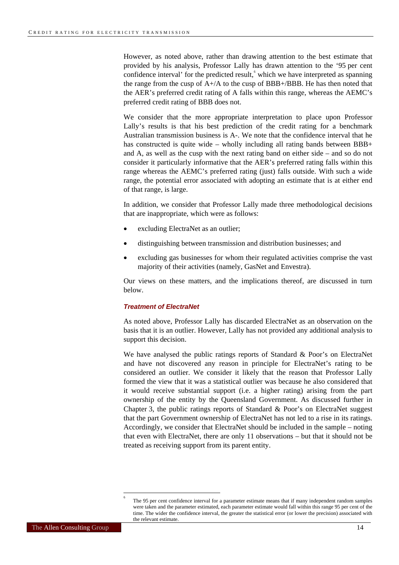<span id="page-13-0"></span>However, as noted above, rather than drawing attention to the best estimate that provided by his analysis, Professor Lally has drawn attention to the '95 per cent confidence interval' for the predicted result,  $\delta$  which we have interpreted as spanning the range from the cusp of A+/A to the cusp of BBB+/BBB. He has then noted that the AER's preferred credit rating of A falls within this range, whereas the AEMC's preferred credit rating of BBB does not.

We consider that the more appropriate interpretation to place upon Professor Lally's results is that his best prediction of the credit rating for a benchmark Australian transmission business is A-. We note that the confidence interval that he has constructed is quite wide – wholly including all rating bands between  $BBB+$ and A, as well as the cusp with the next rating band on either side – and so do not consider it particularly informative that the AER's preferred rating falls within this range whereas the AEMC's preferred rating (just) falls outside. With such a wide range, the potential error associated with adopting an estimate that is at either end of that range, is large.

In addition, we consider that Professor Lally made three methodological decisions that are inappropriate, which were as follows:

- excluding ElectraNet as an outlier;
- distinguishing between transmission and distribution businesses; and
- excluding gas businesses for whom their regulated activities comprise the vast majority of their activities (namely, GasNet and Envestra).

Our views on these matters, and the implications thereof, are discussed in turn below.

#### *Treatment of ElectraNet*

As noted above, Professor Lally has discarded ElectraNet as an observation on the basis that it is an outlier. However, Lally has not provided any additional analysis to support this decision.

We have analysed the public ratings reports of Standard & Poor's on ElectraNet and have not discovered any reason in principle for ElectraNet's rating to be considered an outlier. We consider it likely that the reason that Professor Lally formed the view that it was a statistical outlier was because he also considered that it would receive substantial support (i.e. a higher rating) arising from the part ownership of the entity by the Queensland Government. As discussed further in Chapter 3, the public ratings reports of Standard & Poor's on ElectraNet suggest that the part Government ownership of ElectraNet has not led to a rise in its ratings. Accordingly, we consider that ElectraNet should be included in the sample – noting that even with ElectraNet, there are only 11 observations – but that it should not be treated as receiving support from its parent entity.

 $\overline{a}$ 

<sup>6</sup> The 95 per cent confidence interval for a parameter estimate means that if many independent random samples were taken and the parameter estimated, each parameter estimate would fall within this range 95 per cent of the time. The wider the confidence interval, the greater the statistical error (or lower the precision) associated with the relevant estimate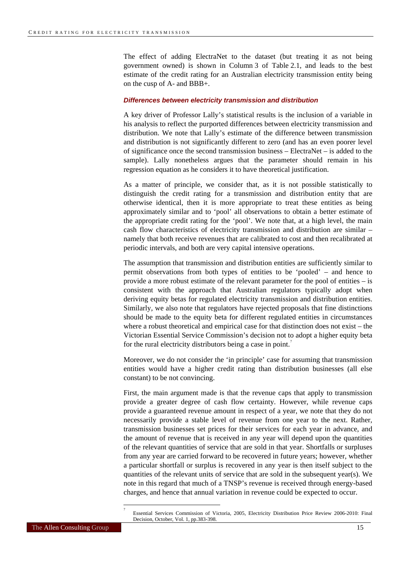<span id="page-14-0"></span>The effect of adding ElectraNet to the dataset (but treating it as not being government owned) is shown in Column 3 of Table 2.1, and leads to the best estimate of the credit rating for an Australian electricity transmission entity being on the cusp of A- and BBB+.

#### *Differences between electricity transmission and distribution*

A key driver of Professor Lally's statistical results is the inclusion of a variable in his analysis to reflect the purported differences between electricity transmission and distribution. We note that Lally's estimate of the difference between transmission and distribution is not significantly different to zero (and has an even poorer level of significance once the second transmission business – ElectraNet – is added to the sample). Lally nonetheless argues that the parameter should remain in his regression equation as he considers it to have theoretical justification.

As a matter of principle, we consider that, as it is not possible statistically to distinguish the credit rating for a transmission and distribution entity that are otherwise identical, then it is more appropriate to treat these entities as being approximately similar and to 'pool' all observations to obtain a better estimate of the appropriate credit rating for the 'pool'. We note that, at a high level, the main cash flow characteristics of electricity transmission and distribution are similar – namely that both receive revenues that are calibrated to cost and then recalibrated at periodic intervals, and both are very capital intensive operations.

The assumption that transmission and distribution entities are sufficiently similar to permit observations from both types of entities to be 'pooled' – and hence to provide a more robust estimate of the relevant parameter for the pool of entities – is consistent with the approach that Australian regulators typically adopt when deriving equity betas for regulated electricity transmission and distribution entities. Similarly, we also note that regulators have rejected proposals that fine distinctions should be made to the equity beta for different regulated entities in circumstances where a robust theoretical and empirical case for that distinction does not exist – the Victorian Essential Service Commission's decision not to adopt a higher equity beta for the rural electricity distributors being a case in point.

Moreover, we do not consider the 'in principle' case for assuming that transmission entities would have a higher credit rating than distribution businesses (all else constant) to be not convincing.

First, the main argument made is that the revenue caps that apply to transmission provide a greater degree of cash flow certainty. However, while revenue caps provide a guaranteed revenue amount in respect of a year, we note that they do not necessarily provide a stable level of revenue from one year to the next. Rather, transmission businesses set prices for their services for each year in advance, and the amount of revenue that is received in any year will depend upon the quantities of the relevant quantities of service that are sold in that year. Shortfalls or surpluses from any year are carried forward to be recovered in future years; however, whether a particular shortfall or surplus is recovered in any year is then itself subject to the quantities of the relevant units of service that are sold in the subsequent year(s). We note in this regard that much of a TNSP's revenue is received through energy-based charges, and hence that annual variation in revenue could be expected to occur.

l

Essential Services Commission of Victoria, 2005, Electricity Distribution Price Review 2006-2010: Final Decision, October, Vol. 1, pp.383-398.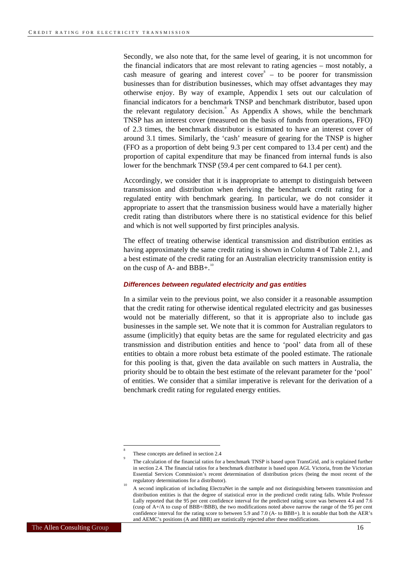<span id="page-15-0"></span>Secondly, we also note that, for the same level of gearing, it is not uncommon for the financial indicators that are most relevant to rating agencies – most notably, a cash measure of gearing and interest cover  $\epsilon$  – to be poorer for transmission businesses than for distribution businesses, which may offset advantages they may otherwise enjoy. By way of example, Appendix 1 sets out our calculation of financial indicators for a benchmark TNSP and benchmark distributor, based upon the relevant regulatory decision.<sup>[9](#page-15-0)</sup> As Appendix A shows, while the benchmark TNSP has an interest cover (measured on the basis of funds from operations, FFO) of 2.3 times, the benchmark distributor is estimated to have an interest cover of around 3.1 times. Similarly, the 'cash' measure of gearing for the TNSP is higher (FFO as a proportion of debt being 9.3 per cent compared to 13.4 per cent) and the proportion of capital expenditure that may be financed from internal funds is also lower for the benchmark TNSP (59.4 per cent compared to 64.1 per cent).

Accordingly, we consider that it is inappropriate to attempt to distinguish between transmission and distribution when deriving the benchmark credit rating for a regulated entity with benchmark gearing. In particular, we do not consider it appropriate to assert that the transmission business would have a materially higher credit rating than distributors where there is no statistical evidence for this belief and which is not well supported by first principles analysis.

The effect of treating otherwise identical transmission and distribution entities as having approximately the same credit rating is shown in Column 4 of Table 2.1, and a best estimate of the credit rating for an Australian electricity transmission entity is on the cusp of A- and BBB+.<sup>[10](#page-15-0)</sup>

#### *Differences between regulated electricity and gas entities*

In a similar vein to the previous point, we also consider it a reasonable assumption that the credit rating for otherwise identical regulated electricity and gas businesses would not be materially different, so that it is appropriate also to include gas businesses in the sample set. We note that it is common for Australian regulators to assume (implicitly) that equity betas are the same for regulated electricity and gas transmission and distribution entities and hence to 'pool' data from all of these entities to obtain a more robust beta estimate of the pooled estimate. The rationale for this pooling is that, given the data available on such matters in Australia, the priority should be to obtain the best estimate of the relevant parameter for the 'pool' of entities. We consider that a similar imperative is relevant for the derivation of a benchmark credit rating for regulated energy entities.

l

<sup>8</sup> These concepts are defined in section 2.4

The calculation of the financial ratios for a benchmark TNSP is based upon TransGrid, and is explained further in section 2.4. The financial ratios for a benchmark distributor is based upon AGL Victoria, from the Victorian Essential Services Commission's recent determination of distribution prices (being the most recent of the regulatory determinations for a distributor).

A second implication of including ElectraNet in the sample and not distinguishing between transmission and distribution entities is that the degree of statistical error in the predicted credit rating falls. While Professor Lally reported that the 95 per cent confidence interval for the predicted rating score was between 4.4 and 7.6  $(\text{cusp of } A + /A)$  to cusp of BBB+/BBB), the two modifications noted above narrow the range of the 95 per cent confidence interval for the rating score to between 5.9 and 7.0 (A- to BBB+). It is notable that both the AER's and AEMC's positions (A and BBB) are statistically rejected after these modifications.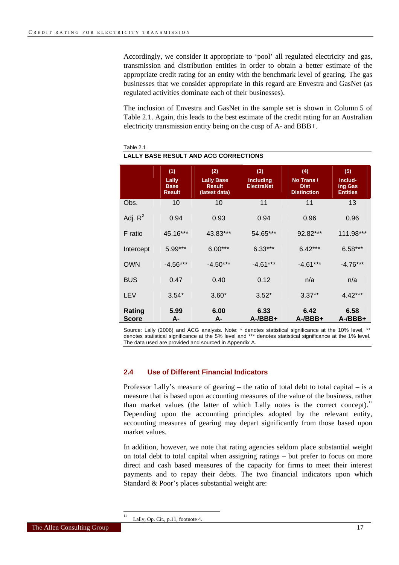<span id="page-16-0"></span>Accordingly, we consider it appropriate to 'pool' all regulated electricity and gas, transmission and distribution entities in order to obtain a better estimate of the appropriate credit rating for an entity with the benchmark level of gearing. The gas businesses that we consider appropriate in this regard are Envestra and GasNet (as regulated activities dominate each of their businesses).

The inclusion of Envestra and GasNet in the sample set is shown in Column 5 of Table 2.1. Again, this leads to the best estimate of the credit rating for an Australian electricity transmission entity being on the cusp of A- and BBB+.

|                        | (1)<br>Lally<br><b>Base</b><br><b>Result</b> | (2)<br><b>Lally Base</b><br><b>Result</b><br>(latest data) | (3)<br><b>Including</b><br><b>ElectraNet</b> | (4)<br>No Trans /<br><b>Dist</b><br><b>Distinction</b> | (5)<br>Includ-<br>ing Gas<br><b>Entities</b> |
|------------------------|----------------------------------------------|------------------------------------------------------------|----------------------------------------------|--------------------------------------------------------|----------------------------------------------|
| Obs.                   | 10                                           | 10                                                         | 11                                           | 11                                                     | 13                                           |
| Adj. $R^2$             | 0.94                                         | 0.93                                                       | 0.94                                         | 0.96                                                   | 0.96                                         |
| F ratio                | 45.16***                                     | 43.83***                                                   | 54.65***                                     | 92.82***                                               | 111.98***                                    |
| Intercept              | 5.99***                                      | $6.00***$                                                  | $6.33***$                                    | $6.42***$                                              | $6.58***$                                    |
| <b>OWN</b>             | $-4.56***$                                   | $-4.50***$                                                 | $-4.61***$                                   | $-4.61***$                                             | $-4.76***$                                   |
| <b>BUS</b>             | 0.47                                         | 0.40                                                       | 0.12                                         | n/a                                                    | n/a                                          |
| LEV                    | $3.54*$                                      | $3.60*$                                                    | $3.52*$                                      | $3.37**$                                               | $4.42***$                                    |
| Rating<br><b>Score</b> | 5.99<br>А-                                   | 6.00<br>A-                                                 | 6.33<br>$A$ -/BBB+                           | 6.42<br>$A$ -/BBB+                                     | 6.58<br>$A$ -/BBB+                           |

#### Table 2.1 **LALLY BASE RESULT AND ACG CORRECTIONS**

Source: Lally (2006) and ACG analysis. Note: \* denotes statistical significance at the 10% level, \*\* denotes statistical significance at the 5% level and \*\*\* denotes statistical significance at the 1% level. The data used are provided and sourced in Appendix A.

#### **2.4 Use of Different Financial Indicators**

Professor Lally's measure of gearing – the ratio of total debt to total capital – is a measure that is based upon accounting measures of the value of the business, rather than market values (the latter of which Lally notes is the correct concept).<sup>1</sup> Depending upon the accounting principles adopted by the relevant entity, accounting measures of gearing may depart significantly from those based upon market values.

In addition, however, we note that rating agencies seldom place substantial weight on total debt to total capital when assigning ratings – but prefer to focus on more direct and cash based measures of the capacity for firms to meet their interest payments and to repay their debts. The two financial indicators upon which Standard & Poor's places substantial weight are:

 $\frac{1}{11}$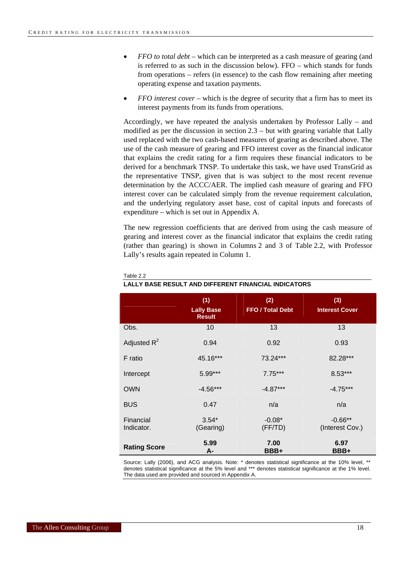- *FFO to total debt* which can be interpreted as a cash measure of gearing (and is referred to as such in the discussion below). FFO – which stands for funds from operations – refers (in essence) to the cash flow remaining after meeting operating expense and taxation payments.
- *FFO interest cover* which is the degree of security that a firm has to meet its interest payments from its funds from operations.

Accordingly, we have repeated the analysis undertaken by Professor Lally – and modified as per the discussion in section 2.3 – but with gearing variable that Lally used replaced with the two cash-based measures of gearing as described above. The use of the cash measure of gearing and FFO interest cover as the financial indicator that explains the credit rating for a firm requires these financial indicators to be derived for a benchmark TNSP. To undertake this task, we have used TransGrid as the representative TNSP, given that is was subject to the most recent revenue determination by the ACCC/AER. The implied cash measure of gearing and FFO interest cover can be calculated simply from the revenue requirement calculation, and the underlying regulatory asset base, cost of capital inputs and forecasts of expenditure – which is set out in Appendix A.

The new regression coefficients that are derived from using the cash measure of gearing and interest cover as the financial indicator that explains the credit rating (rather than gearing) is shown in Columns 2 and 3 of Table 2.2, with Professor Lally's results again repeated in Column 1.

|                         | (1)<br><b>Lally Base</b><br><b>Result</b> | (2)<br>FFO / Total Debt | (3)<br><b>Interest Cover</b> |
|-------------------------|-------------------------------------------|-------------------------|------------------------------|
| Obs.                    | 10                                        | 13                      | 13                           |
| Adjusted $R^2$          | 0.94                                      | 0.92                    | 0.93                         |
| F ratio                 | 45.16***                                  | 73.24***                | 82.28***                     |
| Intercept               | 5.99***                                   | $7.75***$               | $8.53***$                    |
| <b>OWN</b>              | $-4.56***$                                | $-4.87***$              | $-4.75***$                   |
| <b>BUS</b>              | 0.47                                      | n/a                     | n/a                          |
| Financial<br>Indicator. | $3.54*$<br>(Gearing)                      | $-0.08*$<br>(FF/TD)     | $-0.66**$<br>(Interest Cov.) |
| <b>Rating Score</b>     | 5.99<br>А-                                | 7.00<br>BBB+            | 6.97<br>BBB+                 |

#### Table 2.2

#### **LALLY BASE RESULT AND DIFFERENT FINANCIAL INDICATORS**

Source: Lally (2006), and ACG analysis. Note: \* denotes statistical significance at the 10% level, \*\* denotes statistical significance at the 5% level and \*\*\* denotes statistical significance at the 1% level. The data used are provided and sourced in Appendix A.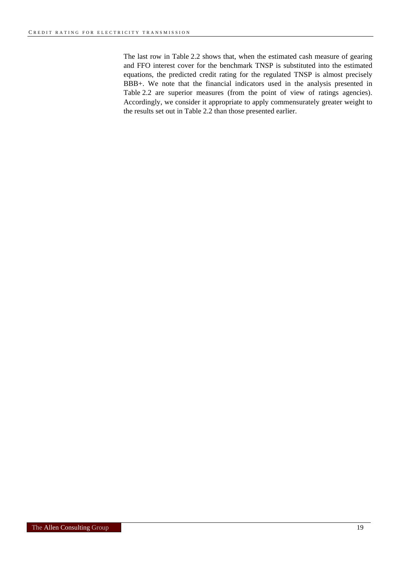The last row in Table 2.2 shows that, when the estimated cash measure of gearing and FFO interest cover for the benchmark TNSP is substituted into the estimated equations, the predicted credit rating for the regulated TNSP is almost precisely BBB+. We note that the financial indicators used in the analysis presented in Table 2.2 are superior measures (from the point of view of ratings agencies). Accordingly, we consider it appropriate to apply commensurately greater weight to the results set out in Table 2.2 than those presented earlier.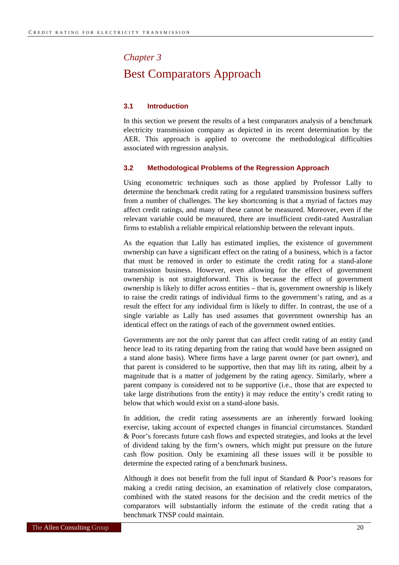# <span id="page-19-0"></span>*Chapter 3* Best Comparators Approach

#### **3.1 Introduction**

In this section we present the results of a best comparators analysis of a benchmark electricity transmission company as depicted in its recent determination by the AER. This approach is applied to overcome the methodological difficulties associated with regression analysis.

#### **3.2 Methodological Problems of the Regression Approach**

Using econometric techniques such as those applied by Professor Lally to determine the benchmark credit rating for a regulated transmission business suffers from a number of challenges. The key shortcoming is that a myriad of factors may affect credit ratings, and many of these cannot be measured. Moreover, even if the relevant variable could be measured, there are insufficient credit-rated Australian firms to establish a reliable empirical relationship between the relevant inputs.

As the equation that Lally has estimated implies, the existence of government ownership can have a significant effect on the rating of a business, which is a factor that must be removed in order to estimate the credit rating for a stand-alone transmission business. However, even allowing for the effect of government ownership is not straightforward. This is because the effect of government ownership is likely to differ across entities – that is, government ownership is likely to raise the credit ratings of individual firms to the government's rating, and as a result the effect for any individual firm is likely to differ. In contrast, the use of a single variable as Lally has used assumes that government ownership has an identical effect on the ratings of each of the government owned entities.

Governments are not the only parent that can affect credit rating of an entity (and hence lead to its rating departing from the rating that would have been assigned on a stand alone basis). Where firms have a large parent owner (or part owner), and that parent is considered to be supportive, then that may lift its rating, albeit by a magnitude that is a matter of judgement by the rating agency. Similarly, where a parent company is considered not to be supportive (i.e., those that are expected to take large distributions from the entity) it may reduce the entity's credit rating to below that which would exist on a stand-alone basis.

In addition, the credit rating assessments are an inherently forward looking exercise, taking account of expected changes in financial circumstances. Standard & Poor's forecasts future cash flows and expected strategies, and looks at the level of dividend taking by the firm's owners, which might put pressure on the future cash flow position. Only be examining all these issues will it be possible to determine the expected rating of a benchmark business.

Although it does not benefit from the full input of Standard & Poor's reasons for making a credit rating decision, an examination of relatively close comparators, combined with the stated reasons for the decision and the credit metrics of the comparators will substantially inform the estimate of the credit rating that a benchmark TNSP could maintain.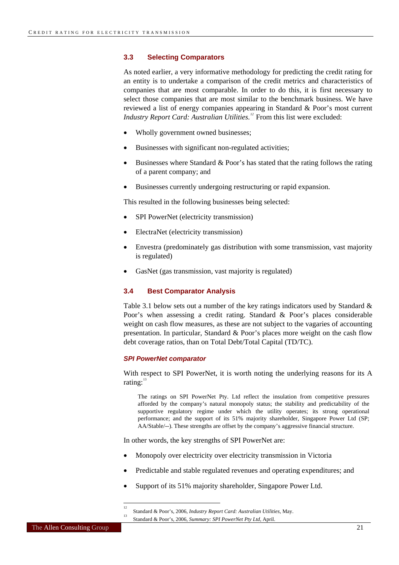#### <span id="page-20-0"></span>**3.3 Selecting Comparators**

As noted earlier, a very informative methodology for predicting the credit rating for an entity is to undertake a comparison of the credit metrics and characteristics of companies that are most comparable. In order to do this, it is first necessary to select those companies that are most similar to the benchmark business. We have reviewed a list of energy companies appearing in Standard & Poor's most current *Industry Report Card: Australian Utilities.[12](#page-20-0)* From this list were excluded:

- Wholly government owned businesses;
- Businesses with significant non-regulated activities;
- Businesses where Standard  $\&$  Poor's has stated that the rating follows the rating of a parent company; and
- Businesses currently undergoing restructuring or rapid expansion.

This resulted in the following businesses being selected:

- SPI PowerNet (electricity transmission)
- ElectraNet (electricity transmission)
- Envestra (predominately gas distribution with some transmission, vast majority is regulated)
- GasNet (gas transmission, vast majority is regulated)

#### **3.4 Best Comparator Analysis**

Table 3.1 below sets out a number of the key ratings indicators used by Standard & Poor's when assessing a credit rating. Standard & Poor's places considerable weight on cash flow measures, as these are not subject to the vagaries of accounting presentation. In particular, Standard & Poor's places more weight on the cash flow debt coverage ratios, than on Total Debt/Total Capital (TD/TC).

#### *SPI PowerNet comparator*

With respect to SPI PowerNet, it is worth noting the underlying reasons for its A rating: $13$ 

The ratings on SPI PowerNet Pty. Ltd reflect the insulation from competitive pressures afforded by the company's natural monopoly status; the stability and predictability of the supportive regulatory regime under which the utility operates; its strong operational performance; and the support of its 51% majority shareholder, Singapore Power Ltd (SP; AA/Stable/--). These strengths are offset by the company's aggressive financial structure.

In other words, the key strengths of SPI PowerNet are:

- Monopoly over electricity over electricity transmission in Victoria
- Predictable and stable regulated revenues and operating expenditures; and
- Support of its 51% majority shareholder, Singapore Power Ltd.

 $\frac{1}{12}$ Standard & Poor's, 2006, *Industry Report Card: Australian Utilities*, May. 13

Standard & Poor's, 2006, *Summary: SPI PowerNet Pty Ltd*, April.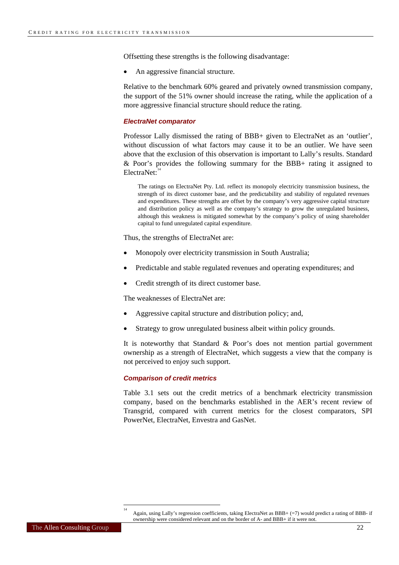<span id="page-21-0"></span>Offsetting these strengths is the following disadvantage:

• An aggressive financial structure.

Relative to the benchmark 60% geared and privately owned transmission company, the support of the 51% owner should increase the rating, while the application of a more aggressive financial structure should reduce the rating.

#### *ElectraNet comparator*

Professor Lally dismissed the rating of BBB+ given to ElectraNet as an 'outlier', without discussion of what factors may cause it to be an outlier. We have seen above that the exclusion of this observation is important to Lally's results. Standard & Poor's provides the following summary for the BBB+ rating it assigned to  $Electrah$ <sup>[14](#page-21-0)</sup>

The ratings on ElectraNet Pty. Ltd. reflect its monopoly electricity transmission business, the strength of its direct customer base, and the predictability and stability of regulated revenues and expenditures. These strengths are offset by the company's very aggressive capital structure and distribution policy as well as the company's strategy to grow the unregulated business, although this weakness is mitigated somewhat by the company's policy of using shareholder capital to fund unregulated capital expenditure.

Thus, the strengths of ElectraNet are:

- Monopoly over electricity transmission in South Australia;
- Predictable and stable regulated revenues and operating expenditures; and
- Credit strength of its direct customer base.

The weaknesses of ElectraNet are:

- Aggressive capital structure and distribution policy; and,
- Strategy to grow unregulated business albeit within policy grounds.

It is noteworthy that Standard & Poor's does not mention partial government ownership as a strength of ElectraNet, which suggests a view that the company is not perceived to enjoy such support.

#### *Comparison of credit metrics*

Table 3.1 sets out the credit metrics of a benchmark electricity transmission company, based on the benchmarks established in the AER's recent review of Transgrid, compared with current metrics for the closest comparators, SPI PowerNet, ElectraNet, Envestra and GasNet.

Again, using Lally's regression coefficients, taking ElectraNet as BBB+ (=7) would predict a rating of BBB- if ownership were considered relevant and on the border of A- and BBB+ if it were not.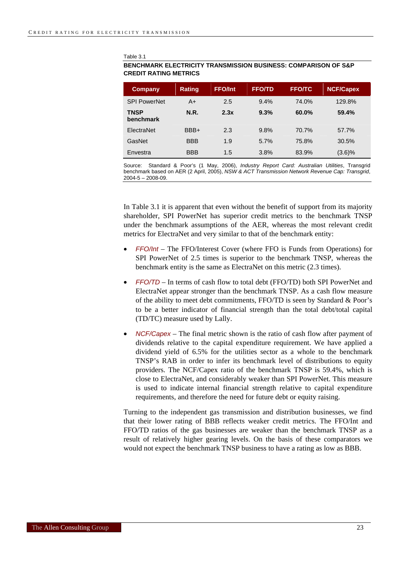Table 3.1

#### **BENCHMARK ELECTRICITY TRANSMISSION BUSINESS: COMPARISON OF S&P CREDIT RATING METRICS**

| Company                  | <b>Rating</b> | <b>FFO/Int</b> | <b>FFO/TD</b> | <b>FFO/TC</b> | <b>NCF/Capex</b> |
|--------------------------|---------------|----------------|---------------|---------------|------------------|
| <b>SPI PowerNet</b>      | A+            | 2.5            | 9.4%          | 74.0%         | 129.8%           |
| <b>TNSP</b><br>benchmark | <b>N.R.</b>   | 2.3x           | 9.3%          | 60.0%         | 59.4%            |
| <b>FlectraNet</b>        | BBB+          | 2.3            | 9.8%          | 70.7%         | 57.7%            |
| GasNet                   | <b>BBB</b>    | 1.9            | 5.7%          | 75.8%         | 30.5%            |
| Envestra                 | <b>BBB</b>    | 1.5            | 3.8%          | 83.9%         | (3.6)%           |

Source: Standard & Poor's (1 May, 2006), *Industry Report Card: Australian Utilities*, Transgrid benchmark based on AER (2 April, 2005), *NSW & ACT Transmission Network Revenue Cap: Transgrid*, 2004-5 – 2008-09.

In Table 3.1 it is apparent that even without the benefit of support from its majority shareholder, SPI PowerNet has superior credit metrics to the benchmark TNSP under the benchmark assumptions of the AER, whereas the most relevant credit metrics for ElectraNet and very similar to that of the benchmark entity:

- *FFO/Int* The FFO/Interest Cover (where FFO is Funds from Operations) for SPI PowerNet of 2.5 times is superior to the benchmark TNSP, whereas the benchmark entity is the same as ElectraNet on this metric (2.3 times).
- *FFO/TD* In terms of cash flow to total debt (FFO/TD) both SPI PowerNet and ElectraNet appear stronger than the benchmark TNSP. As a cash flow measure of the ability to meet debt commitments, FFO/TD is seen by Standard & Poor's to be a better indicator of financial strength than the total debt/total capital (TD/TC) measure used by Lally.
- *NCF/Capex* The final metric shown is the ratio of cash flow after payment of dividends relative to the capital expenditure requirement. We have applied a dividend yield of 6.5% for the utilities sector as a whole to the benchmark TNSP's RAB in order to infer its benchmark level of distributions to equity providers. The NCF/Capex ratio of the benchmark TNSP is 59.4%, which is close to ElectraNet, and considerably weaker than SPI PowerNet. This measure is used to indicate internal financial strength relative to capital expenditure requirements, and therefore the need for future debt or equity raising.

Turning to the independent gas transmission and distribution businesses, we find that their lower rating of BBB reflects weaker credit metrics. The FFO/Int and FFO/TD ratios of the gas businesses are weaker than the benchmark TNSP as a result of relatively higher gearing levels. On the basis of these comparators we would not expect the benchmark TNSP business to have a rating as low as BBB.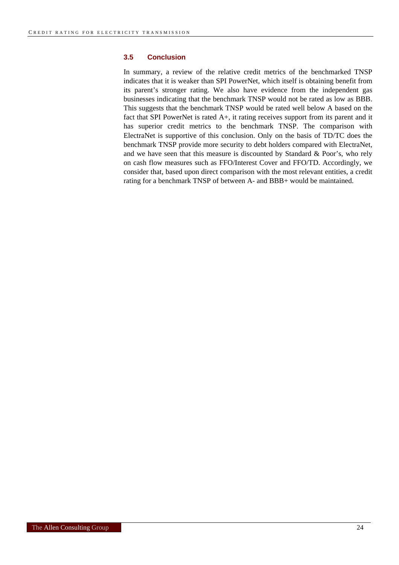#### <span id="page-23-0"></span>**3.5 Conclusion**

In summary, a review of the relative credit metrics of the benchmarked TNSP indicates that it is weaker than SPI PowerNet, which itself is obtaining benefit from its parent's stronger rating. We also have evidence from the independent gas businesses indicating that the benchmark TNSP would not be rated as low as BBB. This suggests that the benchmark TNSP would be rated well below A based on the fact that SPI PowerNet is rated A+, it rating receives support from its parent and it has superior credit metrics to the benchmark TNSP. The comparison with ElectraNet is supportive of this conclusion. Only on the basis of TD/TC does the benchmark TNSP provide more security to debt holders compared with ElectraNet, and we have seen that this measure is discounted by Standard  $\&$  Poor's, who rely on cash flow measures such as FFO/Interest Cover and FFO/TD. Accordingly, we consider that, based upon direct comparison with the most relevant entities, a credit rating for a benchmark TNSP of between A- and BBB+ would be maintained.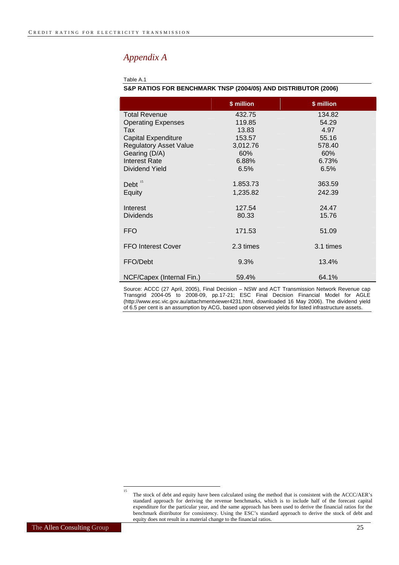### <span id="page-24-0"></span>*Appendix A*

#### Table A.1

|                               | \$ million | \$ million |  |
|-------------------------------|------------|------------|--|
| <b>Total Revenue</b>          | 432.75     | 134.82     |  |
| <b>Operating Expenses</b>     | 119.85     | 54.29      |  |
| Tax                           | 13.83      | 4.97       |  |
| <b>Capital Expenditure</b>    | 153.57     | 55.16      |  |
| <b>Regulatory Asset Value</b> | 3,012.76   | 578.40     |  |
| Gearing (D/A)                 | 60%        | 60%        |  |
| <b>Interest Rate</b>          | 6.88%      | 6.73%      |  |
| Dividend Yield                | 6.5%       | 6.5%       |  |
| Debt $15$                     | 1.853.73   | 363.59     |  |
| Equity                        | 1,235.82   | 242.39     |  |
|                               |            |            |  |
| Interest                      | 127.54     | 24.47      |  |
| <b>Dividends</b>              | 80.33      | 15.76      |  |
| <b>FFO</b>                    | 171.53     | 51.09      |  |
| <b>FFO Interest Cover</b>     | 2.3 times  | 3.1 times  |  |
| FFO/Debt                      | 9.3%       | 13.4%      |  |
| NCF/Capex (Internal Fin.)     | 59.4%      | 64.1%      |  |

#### **S&P RATIOS FOR BENCHMARK TNSP (2004/05) AND DISTRIBUTOR (2006)**

Source: ACCC (27 April, 2005), Final Decision – NSW and ACT Transmission Network Revenue cap Transgrid 2004-05 to 2008-09, pp.17-21; ESC Final Decision Financial Model for AGLE (http://www.esc.vic.gov.au/attachmentviewer4231.html, downloaded 16 May 2006). The dividend yield of 6.5 per cent is an assumption by ACG, based upon observed yields for listed infrastructure assets.

 $\frac{1}{15}$ 

The stock of debt and equity have been calculated using the method that is consistent with the ACCC/AER's standard approach for deriving the revenue benchmarks, which is to include half of the forecast capital expenditure for the particular year, and the same approach has been used to derive the financial ratios for the benchmark distributor for consistency. Using the ESC's standard approach to derive the stock of debt and equity does not result in a material change to the financial ratios.